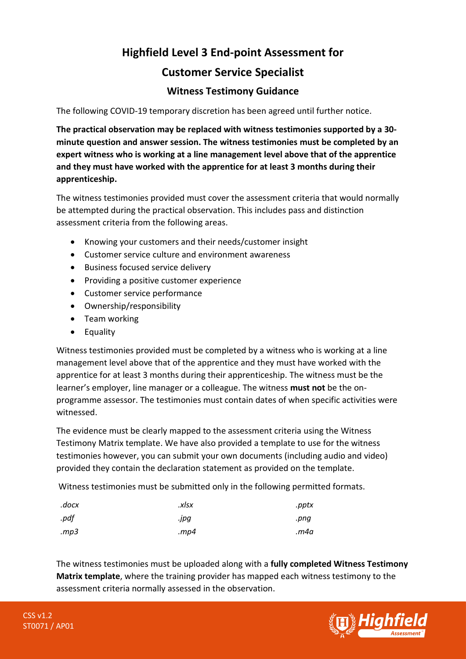## **Highfield Level 3 End-point Assessment for Customer Service Specialist**

## **Witness Testimony Guidance**

The following COVID-19 temporary discretion has been agreed until further notice.

**The practical observation may be replaced with witness testimonies supported by a 30 minute question and answer session. The witness testimonies must be completed by an expert witness who is working at a line management level above that of the apprentice and they must have worked with the apprentice for at least 3 months during their apprenticeship.** 

The witness testimonies provided must cover the assessment criteria that would normally be attempted during the practical observation. This includes pass and distinction assessment criteria from the following areas.

- Knowing your customers and their needs/customer insight
- Customer service culture and environment awareness
- Business focused service delivery
- Providing a positive customer experience
- Customer service performance
- Ownership/responsibility
- Team working
- Equality

Witness testimonies provided must be completed by a witness who is working at a line management level above that of the apprentice and they must have worked with the apprentice for at least 3 months during their apprenticeship. The witness must be the learner's employer, line manager or a colleague. The witness **must not** be the onprogramme assessor. The testimonies must contain dates of when specific activities were witnessed.

The evidence must be clearly mapped to the assessment criteria using the Witness Testimony Matrix template. We have also provided a template to use for the witness testimonies however, you can submit your own documents (including audio and video) provided they contain the declaration statement as provided on the template.

Witness testimonies must be submitted only in the following permitted formats.

| .docx | .xlsx   | .pptx |
|-------|---------|-------|
| .pdf  | .jpg    | .png  |
| mp3.  | . $mp4$ | m4a.  |

The witness testimonies must be uploaded along with a **fully completed Witness Testimony Matrix template**, where the training provider has mapped each witness testimony to the assessment criteria normally assessed in the observation.